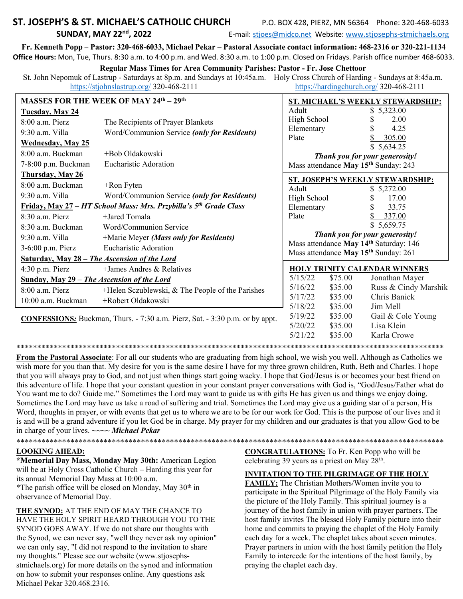## ST. JOSEPH'S & ST. MICHAEL'S CATHOLIC CHURCH **SUNDAY, MAY 22nd, 2022**

P.O. BOX 428, PIERZ, MN 56364 Phone: 320-468-6033

E-mail: stjoes@midco.net Website: www.stjosephs-stmichaels.org

Fr. Kenneth Popp - Pastor: 320-468-6033, Michael Pekar - Pastoral Associate contact information: 468-2316 or 320-221-1134 Office Hours: Mon, Tue, Thurs. 8:30 a.m. to 4:00 p.m. and Wed. 8:30 a.m. to 1:00 p.m. Closed on Fridays. Parish office number 468-6033.

#### **Regular Mass Times for Area Community Parishes: Pastor - Fr. Jose Chettoor**

St. John Nepomuk of Lastrup - Saturdays at 8p.m. and Sundays at 10:45a.m. Holy Cross Church of Harding - Sundays at 8:45a.m. https://stjohnslastrup.org/ 320-468-2111 https://hardingchurch.org/ 320-468-2111

| <b>MASSES FOR THE WEEK OF MAY 24th - 29th</b>                                       |                                                                               | ST. MICHAEL'S WEEKLY STEWARDSHIP:                                                          |         |                      |
|-------------------------------------------------------------------------------------|-------------------------------------------------------------------------------|--------------------------------------------------------------------------------------------|---------|----------------------|
| <b>Tuesday, May 24</b>                                                              |                                                                               | Adult                                                                                      |         | \$5,323.00           |
| $8:00$ a.m. Pierz                                                                   | The Recipients of Prayer Blankets                                             | High School                                                                                |         | 2.00                 |
| 9:30 a.m. Villa                                                                     | Word/Communion Service (only for Residents)                                   | Elementary                                                                                 |         | 4.25                 |
| <b>Wednesday, May 25</b>                                                            |                                                                               | Plate                                                                                      |         | 305.00<br>\$5,634.25 |
| 8:00 a.m. Buckman                                                                   | +Bob Oldakowski                                                               | Thank you for your generosity!                                                             |         |                      |
| 7-8:00 p.m. Buckman                                                                 | Eucharistic Adoration                                                         | Mass attendance May 15 <sup>th</sup> Sunday: 243                                           |         |                      |
| <b>Thursday, May 26</b>                                                             |                                                                               |                                                                                            |         |                      |
| $8:00$ a.m. Buckman                                                                 | $+$ Ron Fyten                                                                 | ST. JOSEPH'S WEEKLY STEWARDSHIP:                                                           |         |                      |
| 9:30 a.m. Villa                                                                     | Word/Communion Service (only for Residents)                                   | Adult                                                                                      |         | \$5,272.00           |
|                                                                                     | Friday, May 27 - HT School Mass: Mrs. Przybilla's 5 <sup>th</sup> Grade Class | High School                                                                                |         | 17.00<br>S           |
|                                                                                     |                                                                               | Elementary                                                                                 |         | 33.75                |
| $8:30$ a.m. Pierz                                                                   | +Jared Tomala                                                                 | Plate                                                                                      |         | 337.00               |
| 8:30 a.m. Buckman                                                                   | Word/Communion Service                                                        |                                                                                            |         | \$5,659.75           |
| 9:30 a.m. Villa                                                                     | +Marie Meyer (Mass only for Residents)                                        | Thank you for your generosity!                                                             |         |                      |
| 3-6:00 p.m. Pierz                                                                   | Eucharistic Adoration                                                         | Mass attendance May 14th Saturday: 146<br>Mass attendance May 15 <sup>th</sup> Sunday: 261 |         |                      |
| Saturday, May 28 - The Ascension of the Lord                                        |                                                                               |                                                                                            |         |                      |
| $4:30$ p.m. Pierz                                                                   | +James Andres & Relatives                                                     | HOLY TRINITY CALENDAR WINNERS                                                              |         |                      |
| Sunday, May 29 - The Ascension of the Lord                                          |                                                                               | 5/15/22                                                                                    | \$75.00 | Jonathan Mayer       |
| $8:00$ a.m. Pierz                                                                   | +Helen Sczublewski, & The People of the Parishes                              | 5/16/22                                                                                    | \$35.00 | Russ & Cindy Marshik |
| 10:00 a.m. Buckman                                                                  | +Robert Oldakowski                                                            | 5/17/22                                                                                    | \$35.00 | Chris Banick         |
|                                                                                     |                                                                               | 5/18/22                                                                                    | \$35.00 | Jim Mell             |
| <b>CONFESSIONS:</b> Buckman, Thurs. - 7:30 a.m. Pierz, Sat. - 3:30 p.m. or by appt. |                                                                               | 5/19/22                                                                                    | \$35.00 | Gail & Cole Young    |
|                                                                                     |                                                                               | 5/20/22                                                                                    | \$35.00 | Lisa Klein           |
|                                                                                     |                                                                               | 5/21/22                                                                                    | \$35.00 | Karla Crowe          |

From the Pastoral Associate: For all our students who are graduating from high school, we wish you well. Although as Catholics we wish more for you than that. My desire for you is the same desire I have for my three grown children, Ruth, Beth and Charles. I hope that you will always pray to God, and not just when things start going wacky. I hope that God/Jesus is or becomes your best friend on this adventure of life. I hope that your constant question in your constant prayer conversations with God is, "God/Jesus/Father what do You want me to do? Guide me." Sometimes the Lord may want to guide us with gifts He has given us and things we enjoy doing. Sometimes the Lord may have us take a road of suffering and trial. Sometimes the Lord may give us a guiding star of a person, His Word, thoughts in prayer, or with events that get us to where we are to be for our work for God. This is the purpose of our lives and it is and will be a grand adventure if you let God be in charge. My prayer for my children and our graduates is that you allow God to be in charge of your lives.  $\sim\sim Michael Pekar$ 

### **LOOKING AHEAD:**

\*Memorial Day Mass, Monday May 30th: American Legion will be at Holy Cross Catholic Church – Harding this year for its annual Memorial Day Mass at 10:00 a.m. \*The parish office will be closed on Monday, May 30<sup>th</sup> in observance of Memorial Day.

THE SYNOD: AT THE END OF MAY THE CHANCE TO HAVE THE HOLY SPIRIT HEARD THROUGH YOU TO THE SYNOD GOES AWAY. If we do not share our thoughts with the Synod, we can never say, "well they never ask my opinion" we can only say, "I did not respond to the invitation to share my thoughts." Please see our website (www.stjosephsstmichaels.org) for more details on the synod and information on how to submit your responses online. Any questions ask Michael Pekar 320.468.2316.

**CONGRATULATIONS:** To Fr. Ken Popp who will be celebrating 39 years as a priest on May 28<sup>th</sup>.

### **INVITATION TO THE PILGRIMAGE OF THE HOLY**

FAMILY: The Christian Mothers/Women invite you to participate in the Spiritual Pilgrimage of the Holy Family via the picture of the Holy Family. This spiritual journey is a journey of the host family in union with prayer partners. The host family invites The blessed Holy Family picture into their home and commits to praying the chaplet of the Holy Family each day for a week. The chaplet takes about seven minutes. Prayer partners in union with the host family petition the Holy Family to intercede for the intentions of the host family, by praying the chaplet each day.